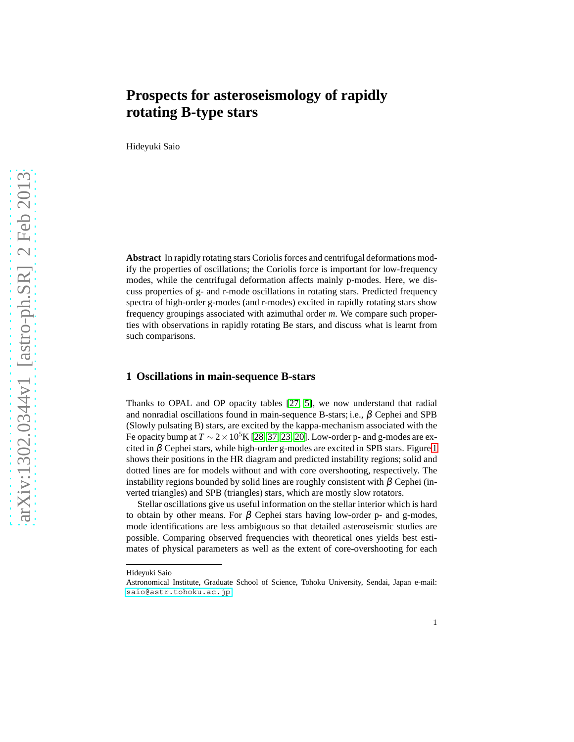# **Prospects for asteroseismology of rapidly rotating B-type stars**

Hideyuki Saio

**Abstract** In rapidly rotating stars Coriolis forces and centrifugal deformations modify the properties of oscillations; the Coriolis force is important for low-frequency modes, while the centrifugal deformation affects mainly p-modes. Here, we discuss properties of g- and r-mode oscillations in rotating stars. Predicted frequency spectra of high-order g-modes (and r-modes) excited in rapidly rotating stars show frequency groupings associated with azimuthal order *m*. We compare such properties with observations in rapidly rotating Be stars, and discuss what is learnt from such comparisons.

## **1 Oscillations in main-sequence B-stars**

Thanks to OPAL and OP opacity tables [\[27,](#page-16-0) [5\]](#page-15-0), we now understand that radial and nonradial oscillations found in main-sequence B-stars; i.e.,  $\beta$  Cephei and SPB (Slowly pulsating B) stars, are excited by the kappa-mechanism associated with the Fe opacity bump at  $T \sim 2 \times 10^5$ K [\[28,](#page-16-1) [37,](#page-17-0) [23,](#page-16-2) [20\]](#page-16-3). Low-order p- and g-modes are excited in  $\beta$  Cephei stars, while high-order g-modes are excited in SPB stars. Figure [1](#page-1-0) shows their positions in the HR diagram and predicted instability regions; solid and dotted lines are for models without and with core overshooting, respectively. The instability regions bounded by solid lines are roughly consistent with  $\beta$  Cephei (inverted triangles) and SPB (triangles) stars, which are mostly slow rotators.

Stellar oscillations give us useful information on the stellar interior which is hard to obtain by other means. For  $\beta$  Cephei stars having low-order p- and g-modes, mode identifications are less ambiguous so that detailed asteroseismic studies are possible. Comparing observed frequencies with theoretical ones yields best estimates of physical parameters as well as the extent of core-overshooting for each

Hideyuki Saio

Astronomical Institute, Graduate School of Science, Tohoku University, Sendai, Japan e-mail: <saio@astr.tohoku.ac.jp>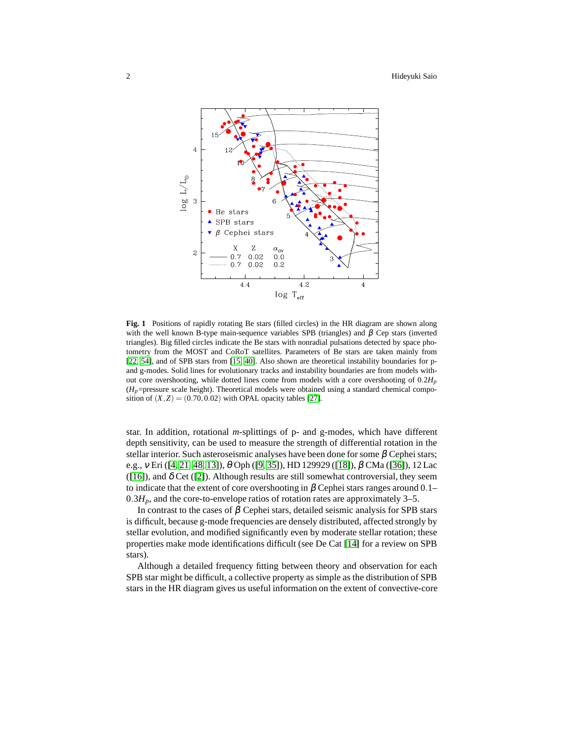

<span id="page-1-0"></span>**Fig. 1** Positions of rapidly rotating Be stars (filled circles) in the HR diagram are shown along with the well known B-type main-sequence variables SPB (triangles) and  $β$  Cep stars (inverted triangles). Big filled circles indicate the Be stars with nonradial pulsations detected by space photometry from the MOST and CoRoT satellites. Parameters of Be stars are taken mainly from [\[22,](#page-16-4) [54\]](#page-17-1), and of SPB stars from [\[15,](#page-16-5) [40\]](#page-17-2). Also shown are theoretical instability boundaries for pand g-modes. Solid lines for evolutionary tracks and instability boundaries are from models without core overshooting, while dotted lines come from models with a core overshooting of  $0.2H_p$  $(H_p$ =pressure scale height). Theoretical models were obtained using a standard chemical composition of  $(X, Z) = (0.70, 0.02)$  with OPAL opacity tables [\[27\]](#page-16-0).

star. In addition, rotational *m*-splittings of p- and g-modes, which have different depth sensitivity, can be used to measure the strength of differential rotation in the stellar interior. Such asteroseismic analyses have been done for some  $\beta$  Cephei stars; e.g., <sup>ν</sup> Eri ([\[4,](#page-15-1) [21,](#page-16-6) [48,](#page-17-3) [13\]](#page-16-7)), θ Oph ([\[9,](#page-15-2) [35\]](#page-16-8)), HD 129929 ([\[18\]](#page-16-9)), β CMa ([\[36\]](#page-16-10)), 12 Lac ([\[16\]](#page-16-11)), and  $\delta$  Cet ([\[2\]](#page-15-3)). Although results are still somewhat controversial, they seem to indicate that the extent of core overshooting in  $\beta$  Cephei stars ranges around 0.1–  $0.3H_p$ , and the core-to-envelope ratios of rotation rates are approximately 3–5.

In contrast to the cases of  $\beta$  Cephei stars, detailed seismic analysis for SPB stars is difficult, because g-mode frequencies are densely distributed, affected strongly by stellar evolution, and modified significantly even by moderate stellar rotation; these properties make mode identifications difficult (see De Cat [\[14\]](#page-16-12) for a review on SPB stars).

Although a detailed frequency fitting between theory and observation for each SPB star might be difficult, a collective property as simple as the distribution of SPB stars in the HR diagram gives us useful information on the extent of convective-core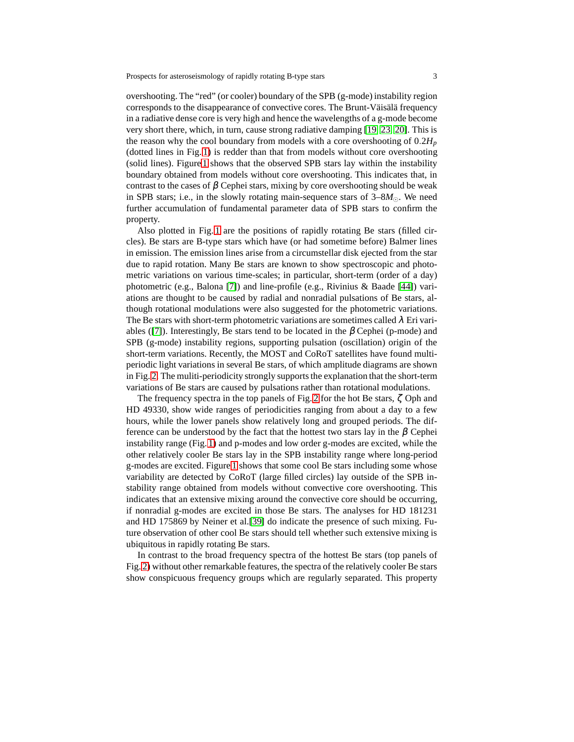overshooting. The "red" (or cooler) boundary of the SPB (g-mode) instability region corresponds to the disappearance of convective cores. The Brunt-Väisälä frequency in a radiative dense core is very high and hence the wavelengths of a g-mode become very short there, which, in turn, cause strong radiative damping [\[19,](#page-16-13) [23,](#page-16-2) [20\]](#page-16-3). This is the reason why the cool boundary from models with a core overshooting of  $0.2H_p$ (dotted lines in Fig. [1\)](#page-1-0) is redder than that from models without core overshooting (solid lines). Figure [1](#page-1-0) shows that the observed SPB stars lay within the instability boundary obtained from models without core overshooting. This indicates that, in contrast to the cases of  $\beta$  Cephei stars, mixing by core overshooting should be weak in SPB stars; i.e., in the slowly rotating main-sequence stars of  $3-8M_{\odot}$ . We need further accumulation of fundamental parameter data of SPB stars to confirm the property.

Also plotted in Fig. [1](#page-1-0) are the positions of rapidly rotating Be stars (filled circles). Be stars are B-type stars which have (or had sometime before) Balmer lines in emission. The emission lines arise from a circumstellar disk ejected from the star due to rapid rotation. Many Be stars are known to show spectroscopic and photometric variations on various time-scales; in particular, short-term (order of a day) photometric (e.g., Balona [\[7\]](#page-15-4)) and line-profile (e.g., Rivinius & Baade [\[44\]](#page-17-4)) variations are thought to be caused by radial and nonradial pulsations of Be stars, although rotational modulations were also suggested for the photometric variations. The Be stars with short-term photometric variations are sometimes called  $\lambda$  Eri vari-ables ([\[7\]](#page-15-4)). Interestingly, Be stars tend to be located in the  $\beta$  Cephei (p-mode) and SPB (g-mode) instability regions, supporting pulsation (oscillation) origin of the short-term variations. Recently, the MOST and CoRoT satellites have found multiperiodic light variations in several Be stars, of which amplitude diagrams are shown in Fig. [2.](#page-3-0) The muliti-periodicity strongly supports the explanation that the short-term variations of Be stars are caused by pulsations rather than rotational modulations.

The frequency spectra in the top panels of Fig. [2](#page-3-0) for the hot Be stars,  $\zeta$  Oph and HD 49330, show wide ranges of periodicities ranging from about a day to a few hours, while the lower panels show relatively long and grouped periods. The difference can be understood by the fact that the hottest two stars lay in the  $\beta$  Cephei instability range (Fig. [1\)](#page-1-0) and p-modes and low order g-modes are excited, while the other relatively cooler Be stars lay in the SPB instability range where long-period g-modes are excited. Figure [1](#page-1-0) shows that some cool Be stars including some whose variability are detected by CoRoT (large filled circles) lay outside of the SPB instability range obtained from models without convective core overshooting. This indicates that an extensive mixing around the convective core should be occurring, if nonradial g-modes are excited in those Be stars. The analyses for HD 181231 and HD 175869 by Neiner et al.[\[39\]](#page-17-5) do indicate the presence of such mixing. Future observation of other cool Be stars should tell whether such extensive mixing is ubiquitous in rapidly rotating Be stars.

In contrast to the broad frequency spectra of the hottest Be stars (top panels of Fig. [2\)](#page-3-0) without other remarkable features, the spectra of the relatively cooler Be stars show conspicuous frequency groups which are regularly separated. This property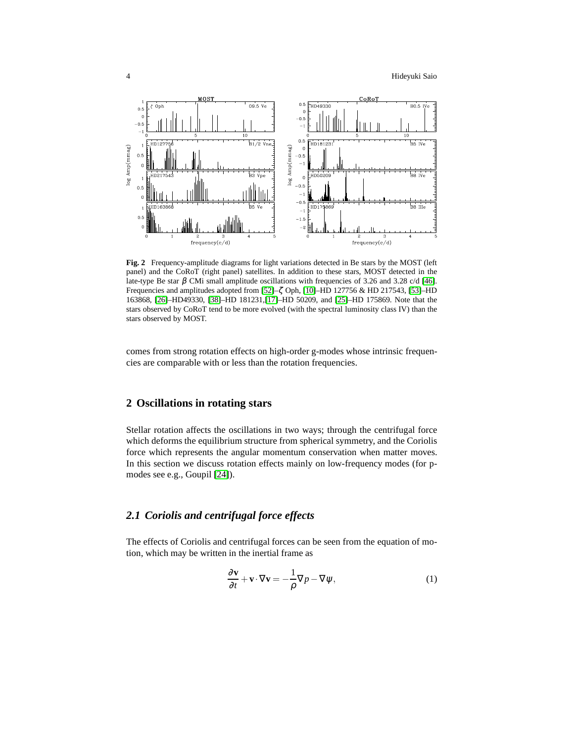

<span id="page-3-0"></span>**Fig. 2** Frequency-amplitude diagrams for light variations detected in Be stars by the MOST (left panel) and the CoRoT (right panel) satellites. In addition to these stars, MOST detected in the late-type Be star β CMi small amplitude oscillations with frequencies of 3.26 and 3.28 c/d [\[46\]](#page-17-6). Frequencies and amplitudes adopted from  $[52]$ – $\zeta$  Oph,  $[10]$ –HD 127756 & HD 217543,  $[53]$ –HD 163868, [\[26\]](#page-16-15)–HD49330, [\[38\]](#page-17-9)–HD 181231,[\[17\]](#page-16-16)–HD 50209, and [\[25\]](#page-16-17)–HD 175869. Note that the stars observed by CoRoT tend to be more evolved (with the spectral luminosity class IV) than the stars observed by MOST.

comes from strong rotation effects on high-order g-modes whose intrinsic frequencies are comparable with or less than the rotation frequencies.

# **2 Oscillations in rotating stars**

Stellar rotation affects the oscillations in two ways; through the centrifugal force which deforms the equilibrium structure from spherical symmetry, and the Coriolis force which represents the angular momentum conservation when matter moves. In this section we discuss rotation effects mainly on low-frequency modes (for pmodes see e.g., Goupil [\[24\]](#page-16-18)).

# *2.1 Coriolis and centrifugal force effects*

The effects of Coriolis and centrifugal forces can be seen from the equation of motion, which may be written in the inertial frame as

<span id="page-3-1"></span>
$$
\frac{\partial \mathbf{v}}{\partial t} + \mathbf{v} \cdot \nabla \mathbf{v} = -\frac{1}{\rho} \nabla p - \nabla \psi,
$$
 (1)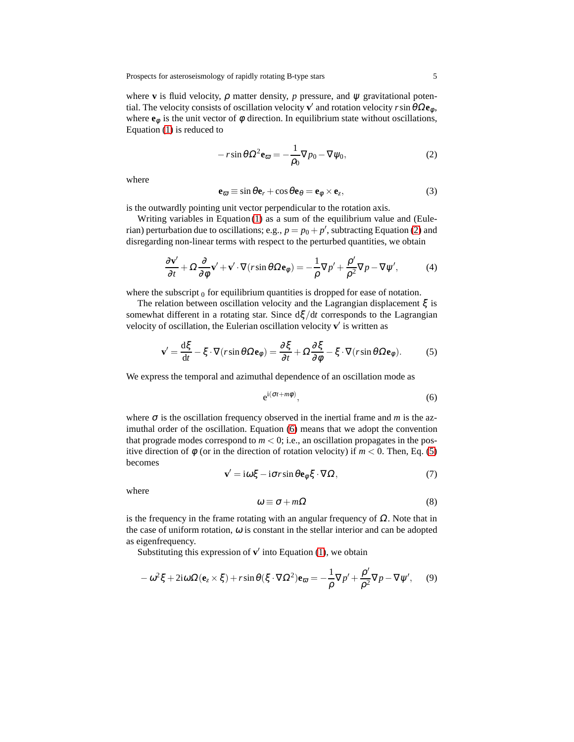where **v** is fluid velocity,  $\rho$  matter density,  $p$  pressure, and  $\psi$  gravitational potential. The velocity consists of oscillation velocity **v** ′ and rotation velocity *r*sinθΩ**e**<sup>φ</sup> , where  $\mathbf{e}_{\phi}$  is the unit vector of  $\phi$  direction. In equilibrium state without oscillations, Equation [\(1\)](#page-3-1) is reduced to

<span id="page-4-0"></span>
$$
-r\sin\theta \Omega^2 \mathbf{e}_{\varpi} = -\frac{1}{\rho_0} \nabla p_0 - \nabla \psi_0, \qquad (2)
$$

where

$$
\mathbf{e}_{\overline{\omega}} \equiv \sin \theta \mathbf{e}_r + \cos \theta \mathbf{e}_{\theta} = \mathbf{e}_{\phi} \times \mathbf{e}_z, \tag{3}
$$

is the outwardly pointing unit vector perpendicular to the rotation axis.

Writing variables in Equation [\(1\)](#page-3-1) as a sum of the equilibrium value and (Eulerian) perturbation due to oscillations; e.g.,  $p = p_0 + p'$ , subtracting Equation [\(2\)](#page-4-0) and disregarding non-linear terms with respect to the perturbed quantities, we obtain

$$
\frac{\partial \mathbf{v}'}{\partial t} + \Omega \frac{\partial}{\partial \phi} \mathbf{v}' + \mathbf{v}' \cdot \nabla (r \sin \theta \Omega \mathbf{e}_{\phi}) = -\frac{1}{\rho} \nabla p' + \frac{\rho'}{\rho^2} \nabla p - \nabla \psi',\tag{4}
$$

where the subscript  $<sub>0</sub>$  for equilibrium quantities is dropped for ease of notation.</sub>

The relation between oscillation velocity and the Lagrangian displacement  $\xi$  is somewhat different in a rotating star. Since dξ/d*t* corresponds to the Lagrangian velocity of oscillation, the Eulerian oscillation velocity v' is written as

<span id="page-4-2"></span>
$$
\mathbf{v}' = \frac{\mathrm{d}\xi}{\mathrm{d}t} - \xi \cdot \nabla(r\sin\theta\Omega\mathbf{e}_{\phi}) = \frac{\partial\xi}{\partial t} + \Omega\frac{\partial\xi}{\partial\phi} - \xi \cdot \nabla(r\sin\theta\Omega\mathbf{e}_{\phi}).\tag{5}
$$

We express the temporal and azimuthal dependence of an oscillation mode as

<span id="page-4-1"></span>
$$
e^{i(\sigma t + m\phi)},\tag{6}
$$

where  $\sigma$  is the oscillation frequency observed in the inertial frame and *m* is the azimuthal order of the oscillation. Equation [\(6\)](#page-4-1) means that we adopt the convention that prograde modes correspond to  $m < 0$ ; i.e., an oscillation propagates in the positive direction of  $\phi$  (or in the direction of rotation velocity) if  $m < 0$ . Then, Eq. [\(5\)](#page-4-2) becomes

$$
\mathbf{v}' = i\omega\xi - i\sigma r\sin\theta\mathbf{e}_{\phi}\xi\cdot\nabla\Omega,\tag{7}
$$

where

$$
\omega \equiv \sigma + m\Omega \tag{8}
$$

is the frequency in the frame rotating with an angular frequency of  $\Omega$ . Note that in the case of uniform rotation,  $\omega$  is constant in the stellar interior and can be adopted as eigenfrequency.

Substituting this expression of  $v'$  into Equation [\(1\)](#page-3-1), we obtain

<span id="page-4-3"></span>
$$
-\omega^2 \xi + 2i\omega \Omega (\mathbf{e}_z \times \xi) + r \sin \theta (\xi \cdot \nabla \Omega^2) \mathbf{e}_{\varpi} = -\frac{1}{\rho} \nabla p' + \frac{\rho'}{\rho^2} \nabla p - \nabla \psi', \quad (9)
$$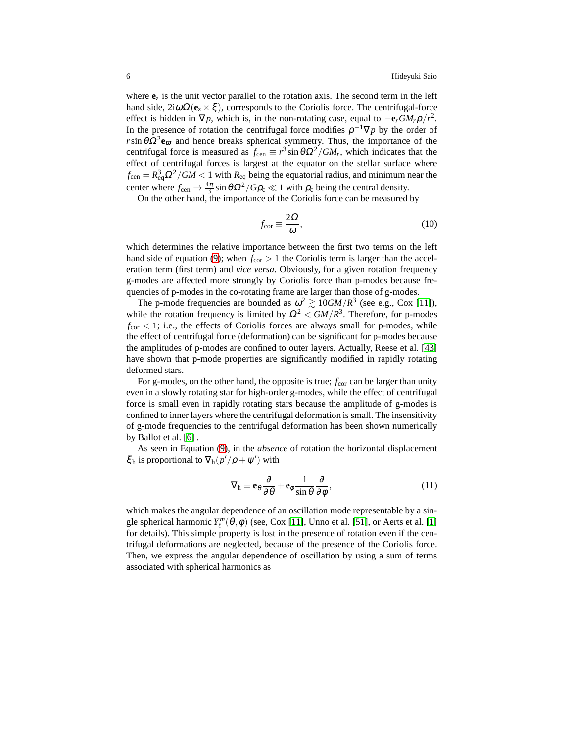where  $\mathbf{e}_z$  is the unit vector parallel to the rotation axis. The second term in the left hand side,  $2i\omega\Omega$ ( $e_z \times \xi$ ), corresponds to the Coriolis force. The centrifugal-force effect is hidden in  $\nabla p$ , which is, in the non-rotating case, equal to  $-\mathbf{e}_r GM_r \rho/r^2$ . In the presence of rotation the centrifugal force modifies  $\rho^{-1} \nabla p$  by the order of  $r \sin \theta \Omega^2 \mathbf{e}_{\varpi}$  and hence breaks spherical symmetry. Thus, the importance of the centrifugal force is measured as  $f_{\text{cen}} \equiv r^3 \sin \theta \Omega^2 / GM_r$ , which indicates that the effect of centrifugal forces is largest at the equator on the stellar surface where  $f_{\rm cen} = R_{\rm eq}^3 \Omega^2/GM < 1$  with  $R_{\rm eq}$  being the equatorial radius, and minimum near the center where  $f_{\text{cen}} \to \frac{4\pi}{3} \sin \theta \Omega^2 / G \rho_c \ll 1$  with  $\rho_c$  being the central density.

On the other hand, the importance of the Coriolis force can be measured by

$$
f_{\rm cor} \equiv \frac{2\Omega}{\omega},\tag{10}
$$

which determines the relative importance between the first two terms on the left hand side of equation [\(9\)](#page-4-3); when  $f_{\text{cor}} > 1$  the Coriolis term is larger than the acceleration term (first term) and *vice versa*. Obviously, for a given rotation frequency g-modes are affected more strongly by Coriolis force than p-modes because frequencies of p-modes in the co-rotating frame are larger than those of g-modes.

The p-mode frequencies are bounded as  $\omega^2 \gtrsim 10GM/R^3$  (see e.g., Cox [\[11\]](#page-16-19)), while the rotation frequency is limited by  $\Omega^2 < GM/R^3$ . Therefore, for p-modes  $f_{\rm cor}$  < 1; i.e., the effects of Coriolis forces are always small for p-modes, while the effect of centrifugal force (deformation) can be significant for p-modes because the amplitudes of p-modes are confined to outer layers. Actually, Reese et al. [\[43\]](#page-17-10) have shown that p-mode properties are significantly modified in rapidly rotating deformed stars.

For g-modes, on the other hand, the opposite is true;  $f_{cor}$  can be larger than unity even in a slowly rotating star for high-order g-modes, while the effect of centrifugal force is small even in rapidly rotating stars because the amplitude of g-modes is confined to inner layers where the centrifugal deformation is small. The insensitivity of g-mode frequencies to the centrifugal deformation has been shown numerically by Ballot et al. [\[6\]](#page-15-5) .

As seen in Equation [\(9\)](#page-4-3), in the *absence* of rotation the horizontal displacement  $\xi_h$  is proportional to  $\nabla_h (p'/\rho + \psi')$  with

$$
\nabla_{\mathbf{h}} \equiv \mathbf{e}_{\theta} \frac{\partial}{\partial \theta} + \mathbf{e}_{\phi} \frac{1}{\sin \theta} \frac{\partial}{\partial \phi},\tag{11}
$$

which makes the angular dependence of an oscillation mode representable by a single spherical harmonic  $Y_{\ell}^{m}(\theta,\phi)$  (see, Cox [\[11\]](#page-16-19), Unno et al. [\[51\]](#page-17-11), or Aerts et al. [\[1\]](#page-15-6) for details). This simple property is lost in the presence of rotation even if the centrifugal deformations are neglected, because of the presence of the Coriolis force. Then, we express the angular dependence of oscillation by using a sum of terms associated with spherical harmonics as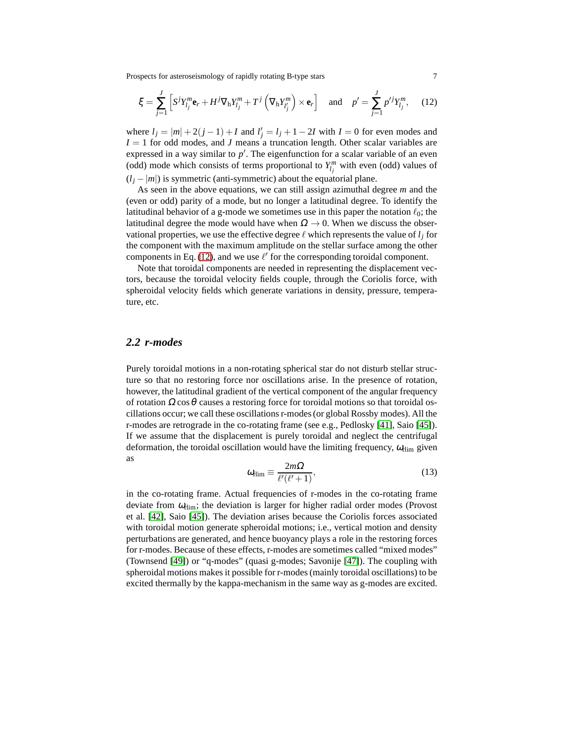Prospects for asteroseismology of rapidly rotating B-type stars 7

<span id="page-6-0"></span>
$$
\xi = \sum_{j=1}^{J} \left[ S^{j} Y_{l_j}^{m} \mathbf{e}_r + H^{j} \nabla_{\mathbf{h}} Y_{l_j}^{m} + T^{j} \left( \nabla_{\mathbf{h}} Y_{l_j}^{m} \right) \times \mathbf{e}_r \right] \quad \text{and} \quad p' = \sum_{j=1}^{J} p'^{j} Y_{l_j}^{m}, \quad (12)
$$

where  $l_j = |m| + 2(j - 1) + I$  and  $l'_j = l_j + 1 - 2I$  with  $I = 0$  for even modes and  $I = 1$  for odd modes, and *J* means a truncation length. Other scalar variables are expressed in a way similar to  $p'$ . The eigenfunction for a scalar variable of an even (odd) mode which consists of terms proportional to  $Y_{l_j}^m$  with even (odd) values of  $(l_i - |m|)$  is symmetric (anti-symmetric) about the equatorial plane.

As seen in the above equations, we can still assign azimuthal degree *m* and the (even or odd) parity of a mode, but no longer a latitudinal degree. To identify the latitudinal behavior of a g-mode we sometimes use in this paper the notation  $\ell_0$ ; the latitudinal degree the mode would have when  $\Omega \rightarrow 0$ . When we discuss the observational properties, we use the effective degree  $\ell$  which represents the value of  $l_i$  for the component with the maximum amplitude on the stellar surface among the other components in Eq. [\(12\)](#page-6-0), and we use  $\ell'$  for the corresponding toroidal component.

Note that toroidal components are needed in representing the displacement vectors, because the toroidal velocity fields couple, through the Coriolis force, with spheroidal velocity fields which generate variations in density, pressure, temperature, etc.

#### *2.2 r-modes*

Purely toroidal motions in a non-rotating spherical star do not disturb stellar structure so that no restoring force nor oscillations arise. In the presence of rotation, however, the latitudinal gradient of the vertical component of the angular frequency of rotation  $\Omega \cos \theta$  causes a restoring force for toroidal motions so that toroidal oscillations occur; we call these oscillations r-modes (or global Rossby modes). All the r-modes are retrograde in the co-rotating frame (see e.g., Pedlosky [\[41\]](#page-17-12), Saio [\[45\]](#page-17-13)). If we assume that the displacement is purely toroidal and neglect the centrifugal deformation, the toroidal oscillation would have the limiting frequency,  $\omega_{\text{rlim}}$  given as

<span id="page-6-1"></span>
$$
\omega_{\text{elim}} \equiv \frac{2m\Omega}{\ell'(\ell'+1)},\tag{13}
$$

in the co-rotating frame. Actual frequencies of r-modes in the co-rotating frame deviate from  $\omega_{\text{rlim}}$ ; the deviation is larger for higher radial order modes (Provost et al. [\[42\]](#page-17-14), Saio [\[45\]](#page-17-13)). The deviation arises because the Coriolis forces associated with toroidal motion generate spheroidal motions; i.e., vertical motion and density perturbations are generated, and hence buoyancy plays a role in the restoring forces for r-modes. Because of these effects, r-modes are sometimes called "mixed modes" (Townsend [\[49\]](#page-17-15)) or "q-modes" (quasi g-modes; Savonije [\[47\]](#page-17-16)). The coupling with spheroidal motions makes it possible for r-modes (mainly toroidal oscillations) to be excited thermally by the kappa-mechanism in the same way as g-modes are excited.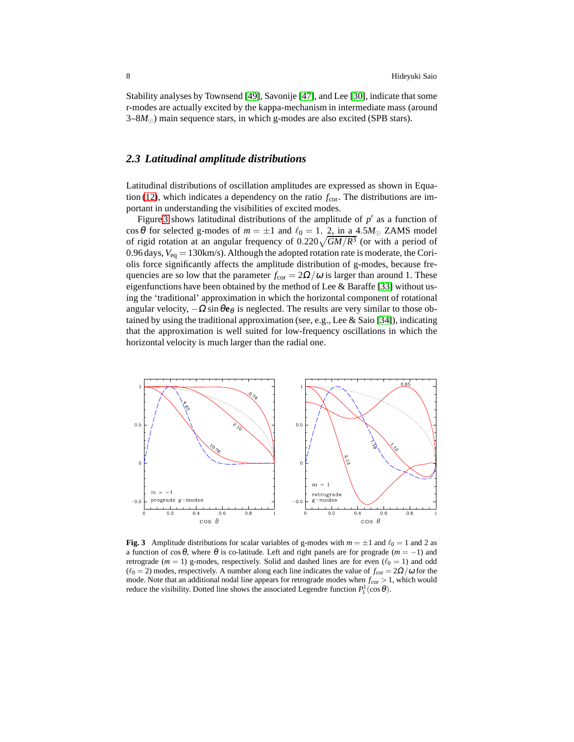Stability analyses by Townsend [\[49\]](#page-17-15), Savonije [\[47\]](#page-17-16), and Lee [\[30\]](#page-16-20), indicate that some r-modes are actually excited by the kappa-mechanism in intermediate mass (around 3–8*M*⊙) main sequence stars, in which g-modes are also excited (SPB stars).

# *2.3 Latitudinal amplitude distributions*

Latitudinal distributions of oscillation amplitudes are expressed as shown in Equa-tion [\(12\)](#page-6-0), which indicates a dependency on the ratio  $f_{\rm cor}$ . The distributions are important in understanding the visibilities of excited modes.

Figure [3](#page-7-0) shows latitudinal distributions of the amplitude of  $p'$  as a function of cos  $\theta$  for selected g-modes of  $m = \pm 1$  and  $\ell_0 = 1$ , 2, in a 4.5 $M_{\odot}$  ZAMS model of rigid rotation at an angular frequency of  $0.220\sqrt{GM/R^3}$  (or with a period of 0.96 days,  $V_{eq} = 130 \text{km/s}$ . Although the adopted rotation rate is moderate, the Coriolis force significantly affects the amplitude distribution of g-modes, because frequencies are so low that the parameter  $f_{\text{cor}} = 2\Omega/\omega$  is larger than around 1. These eigenfunctions have been obtained by the method of Lee & Baraffe [\[33\]](#page-16-21) without using the 'traditional' approximation in which the horizontal component of rotational angular velocity,  $-\Omega \sin \theta e_\theta$  is neglected. The results are very similar to those obtained by using the traditional approximation (see, e.g., Lee & Saio [\[34\]](#page-16-22)), indicating that the approximation is well suited for low-frequency oscillations in which the horizontal velocity is much larger than the radial one.



<span id="page-7-0"></span>**Fig. 3** Amplitude distributions for scalar variables of g-modes with  $m = \pm 1$  and  $\ell_0 = 1$  and 2 as a function of  $\cos\theta$ , where  $\theta$  is co-latitude. Left and right panels are for prograde ( $m = -1$ ) and retrograde ( $m = 1$ ) g-modes, respectively. Solid and dashed lines are for even ( $\ell_0 = 1$ ) and odd  $(ℓ<sub>0</sub> = 2)$  modes, respectively. A number along each line indicates the value of  $f<sub>cor</sub> = 2Ω/ω$  for the mode. Note that an additional nodal line appears for retrograde modes when  $f_{cor} > 1$ , which would reduce the visibility. Dotted line shows the associated Legendre function  $P_1^1(\cos\theta)$ .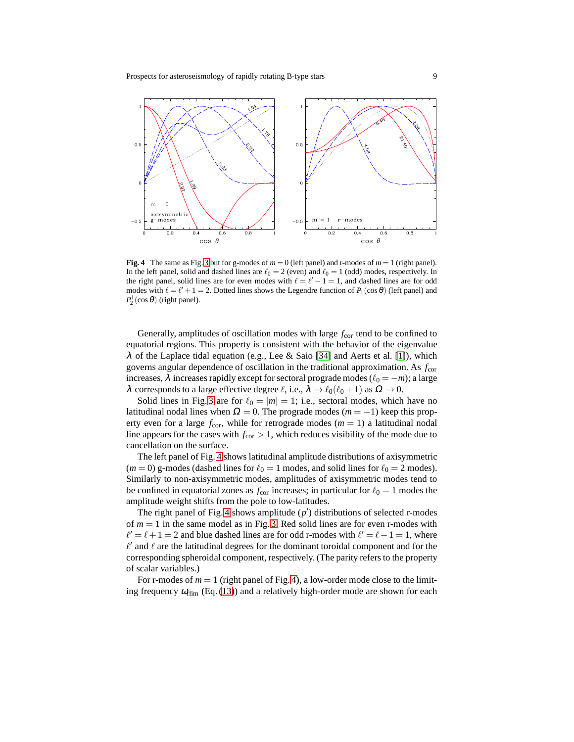

<span id="page-8-0"></span>**Fig. 4** The same as Fig. [3](#page-7-0) but for g-modes of  $m = 0$  (left panel) and r-modes of  $m = 1$  (right panel). In the left panel, solid and dashed lines are  $\ell_0 = 2$  (even) and  $\ell_0 = 1$  (odd) modes, respectively. In the right panel, solid lines are for even modes with  $\ell = \ell' - 1 = 1$ , and dashed lines are for odd modes with  $\ell = \ell' + 1 = 2$ . Dotted lines shows the Legendre function of  $P_1(\cos \theta)$  (left panel) and  $P_2^1(\cos\theta)$  (right panel).

Generally, amplitudes of oscillation modes with large  $f_{cor}$  tend to be confined to equatorial regions. This property is consistent with the behavior of the eigenvalue  $\lambda$  of the Laplace tidal equation (e.g., Lee & Saio [\[34\]](#page-16-22) and Aerts et al. [\[1\]](#page-15-6)), which governs angular dependence of oscillation in the traditional approximation. As *f*cor increases,  $\lambda$  increases rapidly except for sectoral prograde modes ( $\ell_0 = -m$ ); a large λ corresponds to a large effective degree  $\ell$ , i.e.,  $\lambda \to \ell_0(\ell_0 + 1)$  as  $\Omega \to 0$ .

Solid lines in Fig. [3](#page-7-0) are for  $\ell_0 = |m| = 1$ ; i.e., sectoral modes, which have no latitudinal nodal lines when  $\Omega = 0$ . The prograde modes ( $m = -1$ ) keep this property even for a large  $f_{\text{cor}}$ , while for retrograde modes  $(m = 1)$  a latitudinal nodal line appears for the cases with  $f_{\rm cor} > 1$ , which reduces visibility of the mode due to cancellation on the surface.

The left panel of Fig. [4](#page-8-0) shows latitudinal amplitude distributions of axisymmetric  $(m = 0)$  g-modes (dashed lines for  $\ell_0 = 1$  modes, and solid lines for  $\ell_0 = 2$  modes). Similarly to non-axisymmetric modes, amplitudes of axisymmetric modes tend to be confined in equatorial zones as  $f_{\text{cor}}$  increases; in particular for  $\ell_0 = 1$  modes the amplitude weight shifts from the pole to low-latitudes.

The right panel of Fig. [4](#page-8-0) shows amplitude  $(p')$  distributions of selected r-modes of  $m = 1$  in the same model as in Fig. [3.](#page-7-0) Red solid lines are for even r-modes with  $\ell' = \ell + 1 = 2$  and blue dashed lines are for odd r-modes with  $\ell' = \ell - 1 = 1$ , where  $\ell'$  and  $\ell$  are the latitudinal degrees for the dominant toroidal component and for the corresponding spheroidal component, respectively. (The parity refers to the property of scalar variables.)

For r-modes of  $m = 1$  (right panel of Fig. [4\)](#page-8-0), a low-order mode close to the limiting frequency  $\omega_{\text{rlim}}$  (Eq. [\(13\)](#page-6-1)) and a relatively high-order mode are shown for each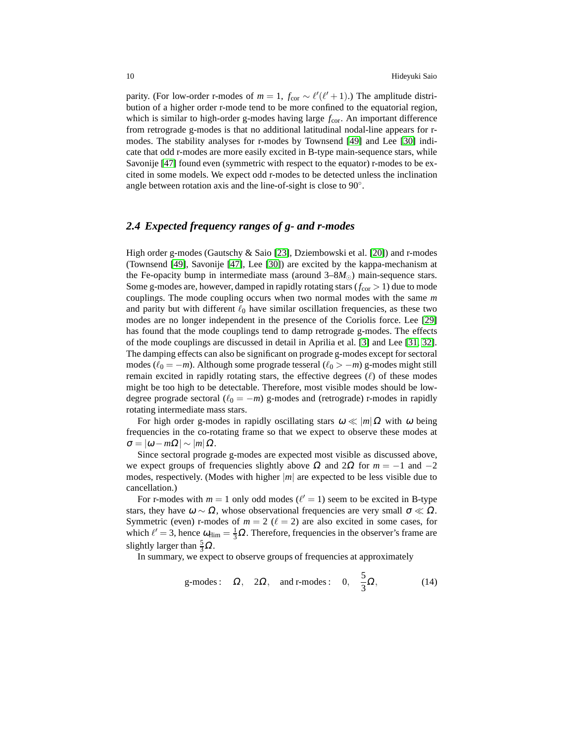parity. (For low-order r-modes of  $m = 1$ ,  $f_{\text{cor}} \sim \ell'(\ell' + 1)$ .) The amplitude distribution of a higher order r-mode tend to be more confined to the equatorial region, which is similar to high-order g-modes having large  $f_{\text{cor}}$ . An important difference from retrograde g-modes is that no additional latitudinal nodal-line appears for rmodes. The stability analyses for r-modes by Townsend [\[49\]](#page-17-15) and Lee [\[30\]](#page-16-20) indicate that odd r-modes are more easily excited in B-type main-sequence stars, while Savonije [\[47\]](#page-17-16) found even (symmetric with respect to the equator) r-modes to be excited in some models. We expect odd r-modes to be detected unless the inclination angle between rotation axis and the line-of-sight is close to 90°.

# *2.4 Expected frequency ranges of g- and r-modes*

High order g-modes (Gautschy & Saio [\[23\]](#page-16-2), Dziembowski et al. [\[20\]](#page-16-3)) and r-modes (Townsend [\[49\]](#page-17-15), Savonije [\[47\]](#page-17-16), Lee [\[30\]](#page-16-20)) are excited by the kappa-mechanism at the Fe-opacity bump in intermediate mass (around  $3-8M_{\odot}$ ) main-sequence stars. Some g-modes are, however, damped in rapidly rotating stars ( $f_{cor} > 1$ ) due to mode couplings. The mode coupling occurs when two normal modes with the same *m* and parity but with different  $\ell_0$  have similar oscillation frequencies, as these two modes are no longer independent in the presence of the Coriolis force. Lee [\[29\]](#page-16-23) has found that the mode couplings tend to damp retrograde g-modes. The effects of the mode couplings are discussed in detail in Aprilia et al. [\[3\]](#page-15-7) and Lee [\[31,](#page-16-24) [32\]](#page-16-25). The damping effects can also be significant on prograde g-modes except for sectoral modes ( $\ell_0 = -m$ ). Although some prograde tesseral ( $\ell_0 > -m$ ) g-modes might still remain excited in rapidly rotating stars, the effective degrees  $(ℓ)$  of these modes might be too high to be detectable. Therefore, most visible modes should be lowdegree prograde sectoral  $(\ell_0 = -m)$  g-modes and (retrograde) r-modes in rapidly rotating intermediate mass stars.

For high order g-modes in rapidly oscillating stars  $\omega \ll |m|\Omega$  with  $\omega$  being frequencies in the co-rotating frame so that we expect to observe these modes at  $\sigma = |\omega - m\Omega| \sim |m| \Omega.$ 

Since sectoral prograde g-modes are expected most visible as discussed above, we expect groups of frequencies slightly above  $\Omega$  and  $2\Omega$  for  $m = -1$  and  $-2$ modes, respectively. (Modes with higher  $|m|$  are expected to be less visible due to cancellation.)

For r-modes with  $m = 1$  only odd modes ( $\ell' = 1$ ) seem to be excited in B-type stars, they have  $\omega \sim \Omega$ , whose observational frequencies are very small  $\sigma \ll \Omega$ . Symmetric (even) r-modes of  $m = 2$  ( $\ell = 2$ ) are also excited in some cases, for which  $\ell' = 3$ , hence  $\omega_{\text{rlim}} = \frac{1}{3}\Omega$ . Therefore, frequencies in the observer's frame are slightly larger than  $\frac{5}{3}\Omega$ .

In summary, we expect to observe groups of frequencies at approximately

g-modes: 
$$
\Omega
$$
,  $2\Omega$ , and r-modes:  $0$ ,  $\frac{5}{3}\Omega$ , (14)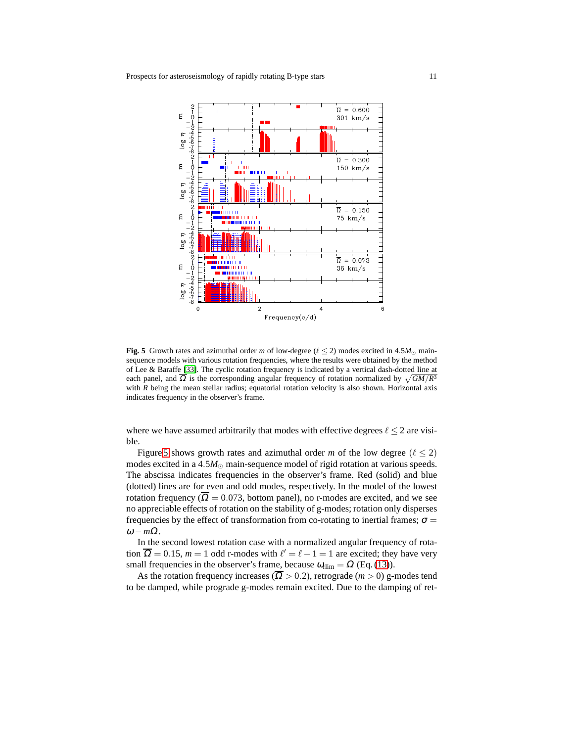

<span id="page-10-0"></span>**Fig. 5** Growth rates and azimuthal order *m* of low-degree ( $\ell \le 2$ ) modes excited in 4.5*M*<sub>☉</sub> mainsequence models with various rotation frequencies, where the results were obtained by the method of Lee & Baraffe [\[33\]](#page-16-21). The cyclic rotation frequency is indicated by a vertical dash-dotted line at each panel, and  $\overline{\Omega}$  is the corresponding angular frequency of rotation normalized by  $\sqrt{GM/R^3}$ with  $R$  being the mean stellar radius; equatorial rotation velocity is also shown. Horizontal axis indicates frequency in the observer's frame.

where we have assumed arbitrarily that modes with effective degrees  $\ell \leq 2$  are visible.

Figure [5](#page-10-0) shows growth rates and azimuthal order *m* of the low degree ( $\ell \le 2$ ) modes excited in a  $4.5M_{\odot}$  main-sequence model of rigid rotation at various speeds. The abscissa indicates frequencies in the observer's frame. Red (solid) and blue (dotted) lines are for even and odd modes, respectively. In the model of the lowest rotation frequency ( $\overline{\Omega} = 0.073$ , bottom panel), no r-modes are excited, and we see no appreciable effects of rotation on the stability of g-modes; rotation only disperses frequencies by the effect of transformation from co-rotating to inertial frames;  $\sigma$  =  $ω - mΩ$ .

In the second lowest rotation case with a normalized angular frequency of rotation  $\overline{\Omega} = 0.15$ ,  $m = 1$  odd r-modes with  $\ell' = \ell - 1 = 1$  are excited; they have very small frequencies in the observer's frame, because  $\omega_{\text{rlim}} = \Omega$  (Eq. [\(13\)](#page-6-1)).

As the rotation frequency increases ( $\overline{\Omega} > 0.2$ ), retrograde (*m* > 0) g-modes tend to be damped, while prograde g-modes remain excited. Due to the damping of ret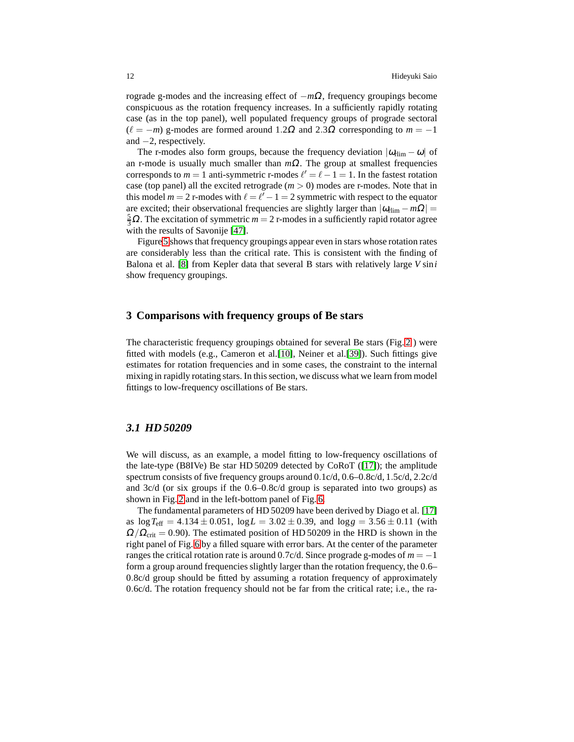rograde g-modes and the increasing effect of −*m*Ω, frequency groupings become conspicuous as the rotation frequency increases. In a sufficiently rapidly rotating case (as in the top panel), well populated frequency groups of prograde sectoral  $(\ell = -m)$  g-modes are formed around 1.2 $\Omega$  and 2.3 $\Omega$  corresponding to  $m = -1$ and  $-2$ , respectively.

The r-modes also form groups, because the frequency deviation  $|\omega_{\text{rim}} - \omega|$  of an r-mode is usually much smaller than *m*Ω. The group at smallest frequencies corresponds to  $m = 1$  anti-symmetric r-modes  $\ell' = \ell - 1 = 1$ . In the fastest rotation case (top panel) all the excited retrograde  $(m > 0)$  modes are r-modes. Note that in this model  $m = 2$  r-modes with  $\ell = \ell' - 1 = 2$  symmetric with respect to the equator are excited; their observational frequencies are slightly larger than  $|\omega_{\text{rim}} - m\Omega|$  =  $\frac{5}{3}$ Ω. The excitation of symmetric *m* = 2 r-modes in a sufficiently rapid rotator agree with the results of Savonije [\[47\]](#page-17-16).

Figure [5](#page-10-0) shows that frequency groupings appear even in stars whose rotation rates are considerably less than the critical rate. This is consistent with the finding of Balona et al. [\[8\]](#page-15-8) from Kepler data that several B stars with relatively large *V* sin*i* show frequency groupings.

## **3 Comparisons with frequency groups of Be stars**

The characteristic frequency groupings obtained for several Be stars (Fig. [2](#page-3-0) ) were fitted with models (e.g., Cameron et al.[\[10\]](#page-16-14), Neiner et al.[\[39\]](#page-17-5)). Such fittings give estimates for rotation frequencies and in some cases, the constraint to the internal mixing in rapidly rotating stars. In this section, we discuss what we learn from model fittings to low-frequency oscillations of Be stars.

#### *3.1 HD 50209*

We will discuss, as an example, a model fitting to low-frequency oscillations of the late-type (B8IVe) Be star HD 50209 detected by CoRoT ([\[17\]](#page-16-16)); the amplitude spectrum consists of five frequency groups around 0.1c/d, 0.6–0.8c/d, 1.5c/d, 2.2c/d and 3c/d (or six groups if the 0.6–0.8c/d group is separated into two groups) as shown in Fig. [2](#page-3-0) and in the left-bottom panel of Fig. [6.](#page-12-0)

The fundamental parameters of HD 50209 have been derived by Diago et al. [\[17\]](#page-16-16) as  $\log T_{\text{eff}} = 4.134 \pm 0.051$ ,  $\log L = 3.02 \pm 0.39$ , and  $\log g = 3.56 \pm 0.11$  (with  $\Omega/\Omega_{\text{crit}} = 0.90$ ). The estimated position of HD 50209 in the HRD is shown in the right panel of Fig. [6](#page-12-0) by a filled square with error bars. At the center of the parameter ranges the critical rotation rate is around 0.7c/d. Since prograde g-modes of *m* = −1 form a group around frequencies slightly larger than the rotation frequency, the 0.6– 0.8c/d group should be fitted by assuming a rotation frequency of approximately 0.6c/d. The rotation frequency should not be far from the critical rate; i.e., the ra-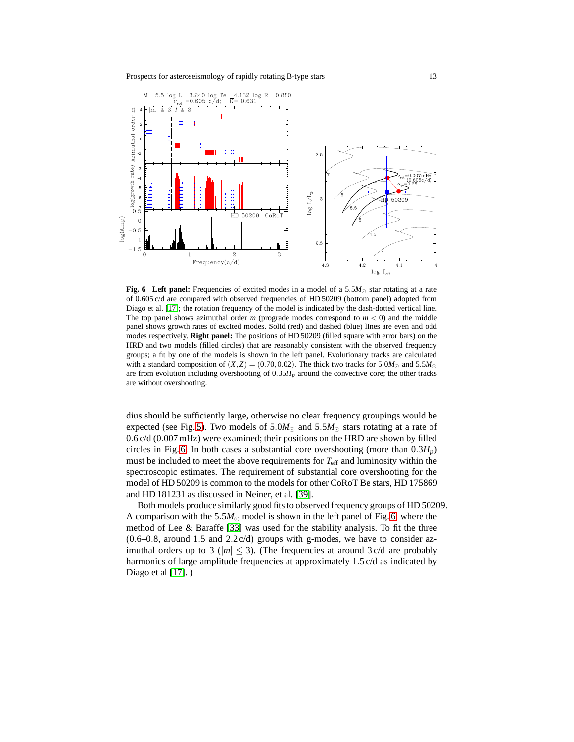

<span id="page-12-0"></span>**Fig. 6 Left panel:** Frequencies of excited modes in a model of a 5.5*M*<sup>⊙</sup> star rotating at a rate of 0.605 c/d are compared with observed frequencies of HD 50209 (bottom panel) adopted from Diago et al. [\[17\]](#page-16-16); the rotation frequency of the model is indicated by the dash-dotted vertical line. The top panel shows azimuthal order  $m$  (prograde modes correspond to  $m < 0$ ) and the middle panel shows growth rates of excited modes. Solid (red) and dashed (blue) lines are even and odd modes respectively. **Right panel:** The positions of HD 50209 (filled square with error bars) on the HRD and two models (filled circles) that are reasonably consistent with the observed frequency groups; a fit by one of the models is shown in the left panel. Evolutionary tracks are calculated with a standard composition of  $(X,Z) = (0.70,0.02)$ . The thick two tracks for 5.0*M*<sub>☉</sub> and 5.5*M*<sub>☉</sub> are from evolution including overshooting of  $0.35H<sub>p</sub>$  around the convective core; the other tracks are without overshooting.

dius should be sufficiently large, otherwise no clear frequency groupings would be expected (see Fig. [5\)](#page-10-0). Two models of  $5.0M_{\odot}$  and  $5.5M_{\odot}$  stars rotating at a rate of 0.6 c/d (0.007 mHz) were examined; their positions on the HRD are shown by filled circles in Fig. [6.](#page-12-0) In both cases a substantial core overshooting (more than  $0.3H_p$ ) must be included to meet the above requirements for  $T_{\text{eff}}$  and luminosity within the spectroscopic estimates. The requirement of substantial core overshooting for the model of HD 50209 is common to the models for other CoRoT Be stars, HD 175869 and HD 181231 as discussed in Neiner, et al. [\[39\]](#page-17-5).

Both models produce similarly good fits to observed frequency groups of HD 50209. A comparison with the 5.5 $M_{\odot}$  model is shown in the left panel of Fig. [6,](#page-12-0) where the method of Lee & Baraffe [\[33\]](#page-16-21) was used for the stability analysis. To fit the three  $(0.6-0.8,$  around 1.5 and 2.2 c/d) groups with g-modes, we have to consider azimuthal orders up to 3 ( $|m| \leq 3$ ). (The frequencies at around 3 c/d are probably harmonics of large amplitude frequencies at approximately 1.5 c/d as indicated by Diago et al [\[17\]](#page-16-16).)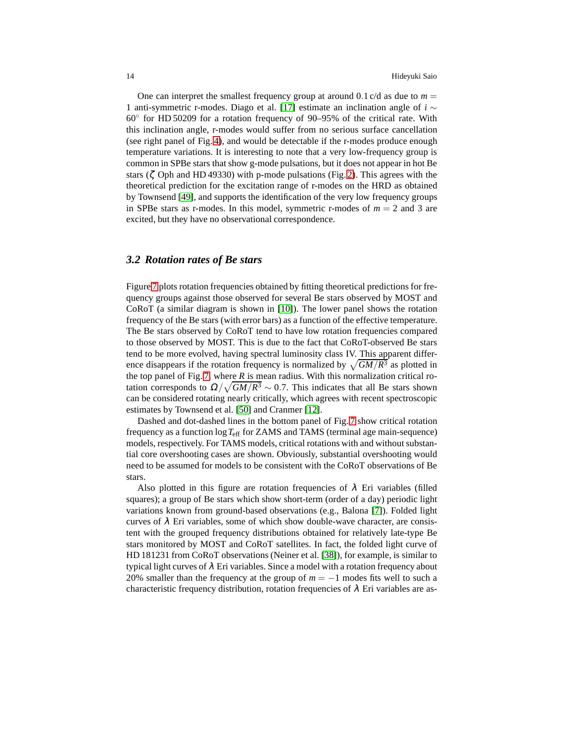One can interpret the smallest frequency group at around 0.1 c/d as due to  $m =$ 1 anti-symmetric r-modes. Diago et al. [\[17\]](#page-16-16) estimate an inclination angle of *i* ∼ 60◦ for HD 50209 for a rotation frequency of 90–95% of the critical rate. With this inclination angle, r-modes would suffer from no serious surface cancellation (see right panel of Fig. [4\)](#page-8-0), and would be detectable if the r-modes produce enough temperature variations. It is interesting to note that a very low-frequency group is common in SPBe stars that show g-mode pulsations, but it does not appear in hot Be stars ( $\zeta$  Oph and HD 49330) with p-mode pulsations (Fig. [2\)](#page-3-0). This agrees with the theoretical prediction for the excitation range of r-modes on the HRD as obtained by Townsend [\[49\]](#page-17-15), and supports the identification of the very low frequency groups in SPBe stars as r-modes. In this model, symmetric r-modes of  $m = 2$  and 3 are excited, but they have no observational correspondence.

# *3.2 Rotation rates of Be stars*

Figure [7](#page-14-0) plots rotation frequencies obtained by fitting theoretical predictions for frequency groups against those observed for several Be stars observed by MOST and CoRoT (a similar diagram is shown in [\[10\]](#page-16-14)). The lower panel shows the rotation frequency of the Be stars (with error bars) as a function of the effective temperature. The Be stars observed by CoRoT tend to have low rotation frequencies compared to those observed by MOST. This is due to the fact that CoRoT-observed Be stars tend to be more evolved, having spectral luminosity class IV. This apparent difference disappears if the rotation frequency is normalized by  $\sqrt{GM/R^3}$  as plotted in the top panel of Fig. [7,](#page-14-0) where  $R$  is mean radius. With this normalization critical rotation corresponds to  $\Omega/\sqrt{GM/R^3} \sim 0.7$ . This indicates that all Be stars shown can be considered rotating nearly critically, which agrees with recent spectroscopic estimates by Townsend et al. [\[50\]](#page-17-17) and Cranmer [\[12\]](#page-16-26).

Dashed and dot-dashed lines in the bottom panel of Fig. [7](#page-14-0) show critical rotation frequency as a function log*T*eff for ZAMS and TAMS (terminal age main-sequence) models, respectively. For TAMS models, critical rotations with and without substantial core overshooting cases are shown. Obviously, substantial overshooting would need to be assumed for models to be consistent with the CoRoT observations of Be stars.

Also plotted in this figure are rotation frequencies of  $\lambda$  Eri variables (filled squares); a group of Be stars which show short-term (order of a day) periodic light variations known from ground-based observations (e.g., Balona [\[7\]](#page-15-4)). Folded light curves of  $\lambda$  Eri variables, some of which show double-wave character, are consistent with the grouped frequency distributions obtained for relatively late-type Be stars monitored by MOST and CoRoT satellites. In fact, the folded light curve of HD 181231 from CoRoT observations (Neiner et al. [\[38\]](#page-17-9)), for example, is similar to typical light curves of  $\lambda$  Eri variables. Since a model with a rotation frequency about 20% smaller than the frequency at the group of  $m = -1$  modes fits well to such a characteristic frequency distribution, rotation frequencies of  $\lambda$  Eri variables are as-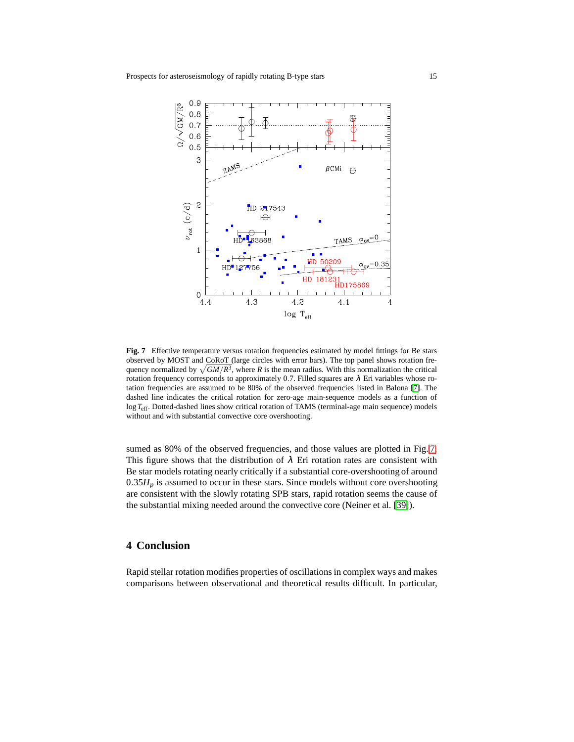

<span id="page-14-0"></span>**Fig. 7** Effective temperature versus rotation frequencies estimated by model fittings for Be stars observed by MOST and CoRoT (large circles with error bars). The top panel shows rotation frequency normalized by  $\sqrt{GM/R^3}$ , where *R* is the mean radius. With this normalization the critical rotation frequency corresponds to approximately 0.7. Filled squares are  $\lambda$  Eri variables whose rotation frequencies are assumed to be 80% of the observed frequencies listed in Balona [\[7\]](#page-15-4). The dashed line indicates the critical rotation for zero-age main-sequence models as a function of log*T*eff. Dotted-dashed lines show critical rotation of TAMS (terminal-age main sequence) models without and with substantial convective core overshooting.

sumed as 80% of the observed frequencies, and those values are plotted in Fig. [7.](#page-14-0) This figure shows that the distribution of  $\lambda$  Eri rotation rates are consistent with Be star models rotating nearly critically if a substantial core-overshooting of around  $0.35H_p$  is assumed to occur in these stars. Since models without core overshooting are consistent with the slowly rotating SPB stars, rapid rotation seems the cause of the substantial mixing needed around the convective core (Neiner et al. [\[39\]](#page-17-5)).

# **4 Conclusion**

Rapid stellar rotation modifies properties of oscillationsin complex ways and makes comparisons between observational and theoretical results difficult. In particular,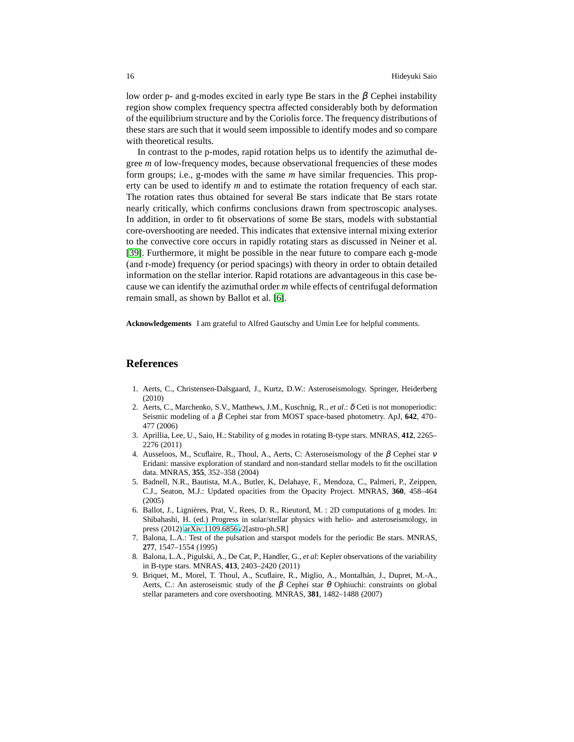low order p- and g-modes excited in early type Be stars in the  $\beta$  Cephei instability region show complex frequency spectra affected considerably both by deformation of the equilibrium structure and by the Coriolis force. The frequency distributions of these stars are such that it would seem impossible to identify modes and so compare with theoretical results.

In contrast to the p-modes, rapid rotation helps us to identify the azimuthal degree *m* of low-frequency modes, because observational frequencies of these modes form groups; i.e., g-modes with the same *m* have similar frequencies. This property can be used to identify *m* and to estimate the rotation frequency of each star. The rotation rates thus obtained for several Be stars indicate that Be stars rotate nearly critically, which confirms conclusions drawn from spectroscopic analyses. In addition, in order to fit observations of some Be stars, models with substantial core-overshooting are needed. This indicates that extensive internal mixing exterior to the convective core occurs in rapidly rotating stars as discussed in Neiner et al. [\[39\]](#page-17-5). Furthermore, it might be possible in the near future to compare each g-mode (and r-mode) frequency (or period spacings) with theory in order to obtain detailed information on the stellar interior. Rapid rotations are advantageous in this case because we can identify the azimuthal order *m* while effects of centrifugal deformation remain small, as shown by Ballot et al. [\[6\]](#page-15-5).

**Acknowledgements** I am grateful to Alfred Gautschy and Umin Lee for helpful comments.

#### **References**

- <span id="page-15-6"></span>1. Aerts, C., Christensen-Dalsgaard, J., Kurtz, D.W.: Asteroseismology. Springer, Heiderberg (2010)
- <span id="page-15-3"></span>2. Aerts, C., Marchenko, S.V., Matthews, J.M., Kuschnig, R., *et al.*: δ Ceti is not monoperiodic: Seismic modeling of a β Cephei star from MOST space-based photometry. ApJ, **642**, 470– 477 (2006)
- <span id="page-15-7"></span>3. Aprillia, Lee, U., Saio, H.: Stability of g modes in rotating B-type stars. MNRAS, **412**, 2265– 2276 (2011)
- <span id="page-15-1"></span>4. Ausseloos, M., Scuflaire, R., Thoul, A., Aerts, C: Asteroseismology of the  $\beta$  Cephei star  $\nu$ Eridani: massive exploration of standard and non-standard stellar models to fit the oscillation data. MNRAS, **355**, 352–358 (2004)
- <span id="page-15-0"></span>5. Badnell, N.R., Bautista, M.A., Butler, K, Delahaye, F., Mendoza, C., Palmeri, P., Zeippen, C.J., Seaton, M.J.: Updated opacities from the Opacity Project. MNRAS, **360**, 458–464 (2005)
- <span id="page-15-5"></span>6. Ballot, J., Lignières, Prat, V., Rees, D. R., Rieutord, M. : 2D computations of g modes. In: Shibahashi, H. (ed.) Progress in solar/stellar physics with helio- and asteroseismology, in press (2012) [arXiv:1109.6856v](http://arxiv.org/abs/1109.6856)2[astro-ph.SR]
- <span id="page-15-4"></span>7. Balona, L.A.: Test of the pulsation and starspot models for the periodic Be stars. MNRAS, **277**, 1547–1554 (1995)
- <span id="page-15-8"></span>8. Balona, L.A., Pigulski, A., De Cat, P., Handler, G., *et al*: Kepler observations of the variability in B-type stars. MNRAS, **413**, 2403–2420 (2011)
- <span id="page-15-2"></span>9. Briquet, M., Morel, T. Thoul, A., Scuflaire, R., Miglio, A., Montalbán, J., Dupret, M.-A., Aerts, C.: An asteroseismic study of the  $\beta$  Cephei star  $\theta$  Ophiuchi: constraints on global stellar parameters and core overshooting. MNRAS, **381**, 1482–1488 (2007)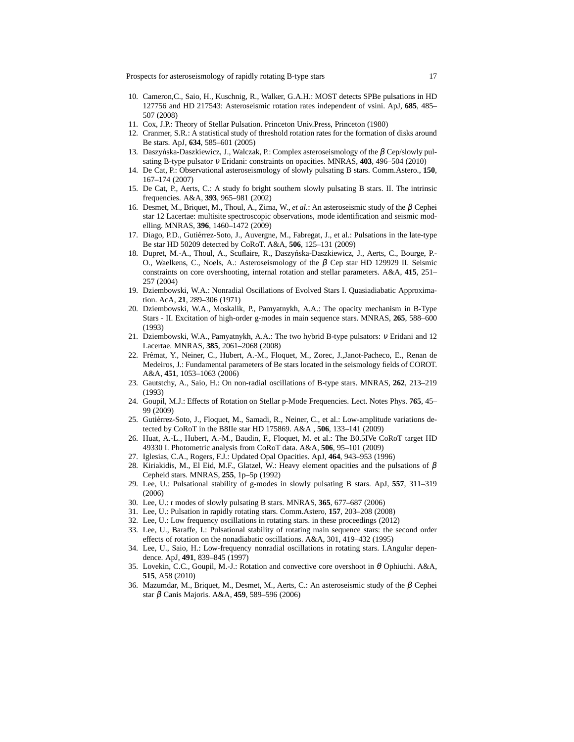<span id="page-16-14"></span>Prospects for asteroseismology of rapidly rotating B-type stars 17

- 10. Cameron,C., Saio, H., Kuschnig, R., Walker, G.A.H.: MOST detects SPBe pulsations in HD 127756 and HD 217543: Asteroseismic rotation rates independent of vsini. ApJ, **685**, 485– 507 (2008)
- <span id="page-16-26"></span><span id="page-16-19"></span>11. Cox, J.P.: Theory of Stellar Pulsation. Princeton Univ.Press, Princeton (1980)
- <span id="page-16-7"></span>12. Cranmer, S.R.: A statistical study of threshold rotation rates for the formation of disks around Be stars. ApJ, **634**, 585–601 (2005)
- 13. Daszyńska-Daszkiewicz, J., Walczak, P.: Complex asteroseismology of the β Cep/slowly pulsating B-type pulsator <sup>ν</sup> Eridani: constraints on opacities. MNRAS, **403**, 496–504 (2010)
- <span id="page-16-12"></span>14. De Cat, P.: Observational asteroseismology of slowly pulsating B stars. Comm.Astero., **150**, 167–174 (2007)
- <span id="page-16-5"></span>15. De Cat, P., Aerts, C.: A study fo bright southern slowly pulsating B stars. II. The intrinsic frequencies. A&A, **393**, 965–981 (2002)
- <span id="page-16-11"></span>16. Desmet, M., Briquet, M., Thoul, A., Zima, W., *et al.*: An asteroseismic study of the β Cephei star 12 Lacertae: multisite spectroscopic observations, mode identification and seismic modelling. MNRAS, **396**, 1460–1472 (2009)
- <span id="page-16-16"></span>17. Diago, P.D., Gutiérrez-Soto, J., Auvergne, M., Fabregat, J., et al.: Pulsations in the late-type Be star HD 50209 detected by CoRoT. A&A, **506**, 125–131 (2009)
- <span id="page-16-9"></span>18. Dupret, M.-A., Thoul, A., Scuflaire, R., Daszyńska-Daszkiewicz, J., Aerts, C., Bourge, P.-O., Waelkens, C., Noels, A.: Asteroseismology of the  $\beta$  Cep star HD 129929 II. Seismic constraints on core overshooting, internal rotation and stellar parameters. A&A, **415**, 251– 257 (2004)
- <span id="page-16-13"></span>19. Dziembowski, W.A.: Nonradial Oscillations of Evolved Stars I. Quasiadiabatic Approximation. AcA, **21**, 289–306 (1971)
- <span id="page-16-3"></span>20. Dziembowski, W.A., Moskalik, P., Pamyatnykh, A.A.: The opacity mechanism in B-Type Stars - II. Excitation of high-order g-modes in main sequence stars. MNRAS, **265**, 588–600 (1993)
- <span id="page-16-6"></span>21. Dziembowski, W.A., Pamyatnykh, A.A.: The two hybrid B-type pulsators: <sup>ν</sup> Eridani and 12 Lacertae. MNRAS, **385**, 2061–2068 (2008)
- <span id="page-16-4"></span>22. Frémat, Y., Neiner, C., Hubert, A.-M., Floquet, M., Zorec, J.,Janot-Pacheco, E., Renan de Medeiros, J.: Fundamental parameters of Be stars located in the seismology fields of COROT. A&A, **451**, 1053–1063 (2006)
- <span id="page-16-2"></span>23. Gautstchy, A., Saio, H.: On non-radial oscillations of B-type stars. MNRAS, **262**, 213–219 (1993)
- <span id="page-16-18"></span>24. Goupil, M.J.: Effects of Rotation on Stellar p-Mode Frequencies. Lect. Notes Phys. **765**, 45– 99 (2009)
- <span id="page-16-17"></span>25. Gutiérrez-Soto, J., Floquet, M., Samadi, R., Neiner, C., et al.: Low-amplitude variations detected by CoRoT in the B8IIe star HD 175869. A&A , **506**, 133–141 (2009)
- <span id="page-16-15"></span>26. Huat, A.-L., Hubert, A.-M., Baudin, F., Floquet, M. et al.: The B0.5IVe CoRoT target HD 49330 I. Photometric analysis from CoRoT data. A&A, **506**, 95–101 (2009)
- <span id="page-16-1"></span><span id="page-16-0"></span>27. Iglesias, C.A., Rogers, F.J.: Updated Opal Opacities. ApJ, **464**, 943–953 (1996)
- 28. Kiriakidis, M., El Eid, M.F., Glatzel, W.: Heavy element opacities and the pulsations of  $\beta$ Cepheid stars. MNRAS, **255**, 1p–5p (1992)
- <span id="page-16-23"></span>29. Lee, U.: Pulsational stability of g-modes in slowly pulsating B stars. ApJ, **557**, 311–319 (2006)
- <span id="page-16-24"></span><span id="page-16-20"></span>30. Lee, U.: r modes of slowly pulsating B stars. MNRAS, **365**, 677–687 (2006)
- <span id="page-16-25"></span>31. Lee, U.: Pulsation in rapidly rotating stars. Comm.Astero, **157**, 203–208 (2008)
- <span id="page-16-21"></span>32. Lee, U.: Low frequency oscillations in rotating stars. in these proceedings (2012)
- 33. Lee, U., Baraffe, I.: Pulsational stability of rotating main sequence stars: the second order effects of rotation on the nonadiabatic oscillations. A&A, 301, 419–432 (1995)
- <span id="page-16-22"></span>34. Lee, U., Saio, H.: Low-frequency nonradial oscillations in rotating stars. I.Angular dependence. ApJ, **491**, 839–845 (1997)
- <span id="page-16-8"></span>35. Lovekin, C.C., Goupil, M.-J.: Rotation and convective core overshoot in θ Ophiuchi. A&A, **515**, A58 (2010)
- <span id="page-16-10"></span>36. Mazumdar, M., Briquet, M., Desmet, M., Aerts, C.: An asteroseismic study of the β Cephei star β Canis Majoris. A&A, **459**, 589–596 (2006)